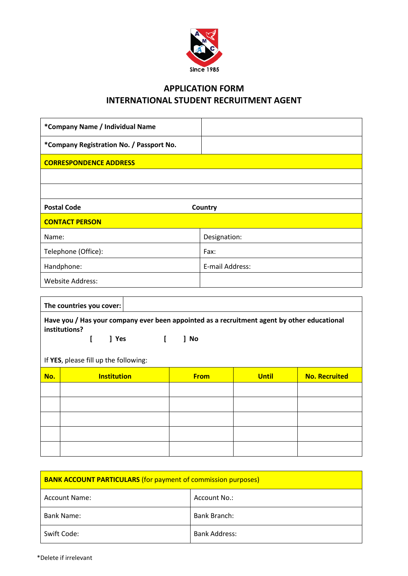

## **APPLICATION FORM INTERNATIONAL STUDENT RECRUITMENT AGENT**

| *Company Name / Individual Name          |                 |  |
|------------------------------------------|-----------------|--|
| *Company Registration No. / Passport No. |                 |  |
| <b>CORRESPONDENCE ADDRESS</b>            |                 |  |
|                                          |                 |  |
|                                          |                 |  |
| <b>Postal Code</b>                       | Country         |  |
| <b>CONTACT PERSON</b>                    |                 |  |
| Name:                                    | Designation:    |  |
| Telephone (Office):                      | Fax:            |  |
| Handphone:                               | E-mail Address: |  |
| <b>Website Address:</b>                  |                 |  |

| The countries you cover:                                                                                                      |                    |  |             |              |                      |
|-------------------------------------------------------------------------------------------------------------------------------|--------------------|--|-------------|--------------|----------------------|
| Have you / Has your company ever been appointed as a recruitment agent by other educational<br>institutions?<br>l Yes<br>1 No |                    |  |             |              |                      |
| If YES, please fill up the following:                                                                                         |                    |  |             |              |                      |
| No.                                                                                                                           | <b>Institution</b> |  | <b>From</b> | <b>Until</b> | <b>No. Recruited</b> |
|                                                                                                                               |                    |  |             |              |                      |
|                                                                                                                               |                    |  |             |              |                      |

| <b>BANK ACCOUNT PARTICULARS (for payment of commission purposes)</b> |                      |  |
|----------------------------------------------------------------------|----------------------|--|
| Account Name:                                                        | Account No.:         |  |
| <b>Bank Name:</b>                                                    | Bank Branch:         |  |
| Swift Code:                                                          | <b>Bank Address:</b> |  |